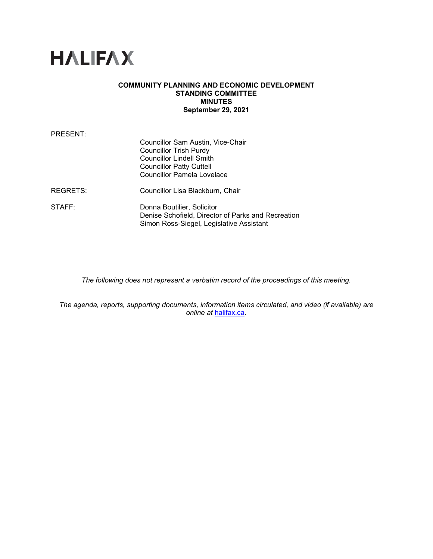

### **COMMUNITY PLANNING AND ECONOMIC DEVELOPMENT STANDING COMMITTEE MINUTES September 29, 2021**

| PRESENT:           |                                                                                                                                                                        |
|--------------------|------------------------------------------------------------------------------------------------------------------------------------------------------------------------|
|                    | Councillor Sam Austin, Vice-Chair<br>Councillor Trish Purdy<br><b>Councillor Lindell Smith</b><br><b>Councillor Patty Cuttell</b><br><b>Councillor Pamela Lovelace</b> |
| REGRETS:           | Councillor Lisa Blackburn, Chair                                                                                                                                       |
| $\mathsf{STATE}$ : | Donna Boutilier, Solicitor<br>Denise Schofield, Director of Parks and Recreation<br>Simon Ross-Siegel, Legislative Assistant                                           |

*The following does not represent a verbatim record of the proceedings of this meeting.*

*The agenda, reports, supporting documents, information items circulated, and video (if available) are online at* [halifax.ca](http://www.halifax.ca/)*.*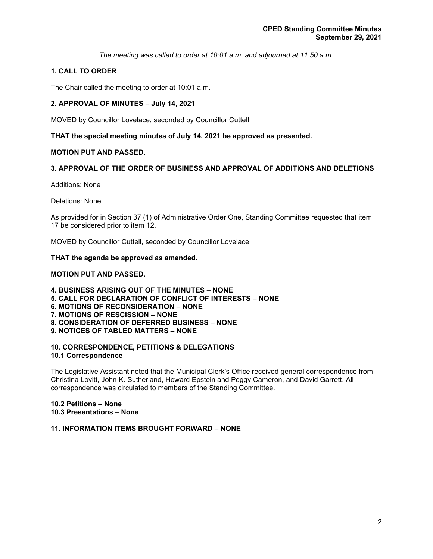*The meeting was called to order at 10:01 a.m. and adjourned at 11:50 a.m.*

# **1. CALL TO ORDER**

The Chair called the meeting to order at 10:01 a.m.

### **2. APPROVAL OF MINUTES – July 14, 2021**

MOVED by Councillor Lovelace, seconded by Councillor Cuttell

# **THAT the special meeting minutes of July 14, 2021 be approved as presented.**

### **MOTION PUT AND PASSED.**

# **3. APPROVAL OF THE ORDER OF BUSINESS AND APPROVAL OF ADDITIONS AND DELETIONS**

Additions: None

Deletions: None

As provided for in Section 37 (1) of Administrative Order One, Standing Committee requested that item 17 be considered prior to item 12.

MOVED by Councillor Cuttell, seconded by Councillor Lovelace

#### **THAT the agenda be approved as amended.**

### **MOTION PUT AND PASSED.**

**4. BUSINESS ARISING OUT OF THE MINUTES – NONE 5. CALL FOR DECLARATION OF CONFLICT OF INTERESTS – NONE 6. MOTIONS OF RECONSIDERATION – NONE 7. MOTIONS OF RESCISSION – NONE 8. CONSIDERATION OF DEFERRED BUSINESS – NONE 9. NOTICES OF TABLED MATTERS – NONE**

#### **10. CORRESPONDENCE, PETITIONS & DELEGATIONS 10.1 Correspondence**

The Legislative Assistant noted that the Municipal Clerk's Office received general correspondence from Christina Lovitt, John K. Sutherland, Howard Epstein and Peggy Cameron, and David Garrett. All correspondence was circulated to members of the Standing Committee.

#### **10.2 Petitions – None 10.3 Presentations – None**

### **11. INFORMATION ITEMS BROUGHT FORWARD – NONE**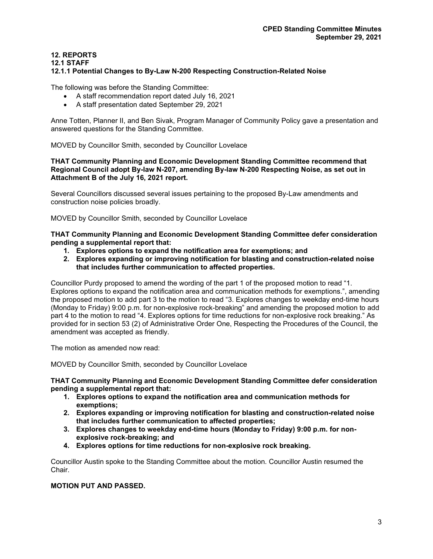# **12. REPORTS**

#### **12.1 STAFF**

### **12.1.1 Potential Changes to By-Law N-200 Respecting Construction-Related Noise**

The following was before the Standing Committee:

- A staff recommendation report dated July 16, 2021
- A staff presentation dated September 29, 2021

Anne Totten, Planner II, and Ben Sivak, Program Manager of Community Policy gave a presentation and answered questions for the Standing Committee.

MOVED by Councillor Smith, seconded by Councillor Lovelace

#### **THAT Community Planning and Economic Development Standing Committee recommend that Regional Council adopt By-law N-207, amending By-law N-200 Respecting Noise, as set out in Attachment B of the July 16, 2021 report.**

Several Councillors discussed several issues pertaining to the proposed By-Law amendments and construction noise policies broadly.

MOVED by Councillor Smith, seconded by Councillor Lovelace

**THAT Community Planning and Economic Development Standing Committee defer consideration pending a supplemental report that:**

- **1. Explores options to expand the notification area for exemptions; and**
- **2. Explores expanding or improving notification for blasting and construction-related noise that includes further communication to affected properties.**

Councillor Purdy proposed to amend the wording of the part 1 of the proposed motion to read "1. Explores options to expand the notification area and communication methods for exemptions.", amending the proposed motion to add part 3 to the motion to read "3. Explores changes to weekday end-time hours (Monday to Friday) 9:00 p.m. for non-explosive rock-breaking" and amending the proposed motion to add part 4 to the motion to read "4. Explores options for time reductions for non-explosive rock breaking." As provided for in section 53 (2) of Administrative Order One, Respecting the Procedures of the Council, the amendment was accepted as friendly.

The motion as amended now read:

MOVED by Councillor Smith, seconded by Councillor Lovelace

### **THAT Community Planning and Economic Development Standing Committee defer consideration pending a supplemental report that:**

- **1. Explores options to expand the notification area and communication methods for exemptions;**
- **2. Explores expanding or improving notification for blasting and construction-related noise that includes further communication to affected properties;**
- **3. Explores changes to weekday end-time hours (Monday to Friday) 9:00 p.m. for nonexplosive rock-breaking; and**
- **4. Explores options for time reductions for non-explosive rock breaking.**

Councillor Austin spoke to the Standing Committee about the motion. Councillor Austin resumed the Chair.

# **MOTION PUT AND PASSED.**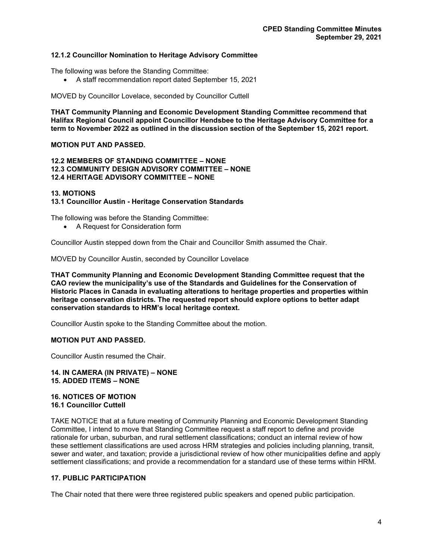### **12.1.2 Councillor Nomination to Heritage Advisory Committee**

The following was before the Standing Committee:

• A staff recommendation report dated September 15, 2021

MOVED by Councillor Lovelace, seconded by Councillor Cuttell

**THAT Community Planning and Economic Development Standing Committee recommend that Halifax Regional Council appoint Councillor Hendsbee to the Heritage Advisory Committee for a term to November 2022 as outlined in the discussion section of the September 15, 2021 report.**

# **MOTION PUT AND PASSED.**

#### **12.2 MEMBERS OF STANDING COMMITTEE – NONE 12.3 COMMUNITY DESIGN ADVISORY COMMITTEE – NONE 12.4 HERITAGE ADVISORY COMMITTEE – NONE**

#### **13. MOTIONS**

### **13.1 Councillor Austin - Heritage Conservation Standards**

The following was before the Standing Committee:

• A Request for Consideration form

Councillor Austin stepped down from the Chair and Councillor Smith assumed the Chair.

MOVED by Councillor Austin, seconded by Councillor Lovelace

**THAT Community Planning and Economic Development Standing Committee request that the CAO review the municipality's use of the Standards and Guidelines for the Conservation of Historic Places in Canada in evaluating alterations to heritage properties and properties within heritage conservation districts. The requested report should explore options to better adapt conservation standards to HRM's local heritage context.**

Councillor Austin spoke to the Standing Committee about the motion.

### **MOTION PUT AND PASSED.**

Councillor Austin resumed the Chair.

#### **14. IN CAMERA (IN PRIVATE) – NONE 15. ADDED ITEMS – NONE**

#### **16. NOTICES OF MOTION 16.1 Councillor Cuttell**

TAKE NOTICE that at a future meeting of Community Planning and Economic Development Standing Committee, I intend to move that Standing Committee request a staff report to define and provide rationale for urban, suburban, and rural settlement classifications; conduct an internal review of how these settlement classifications are used across HRM strategies and policies including planning, transit, sewer and water, and taxation; provide a jurisdictional review of how other municipalities define and apply settlement classifications; and provide a recommendation for a standard use of these terms within HRM.

# **17. PUBLIC PARTICIPATION**

The Chair noted that there were three registered public speakers and opened public participation.